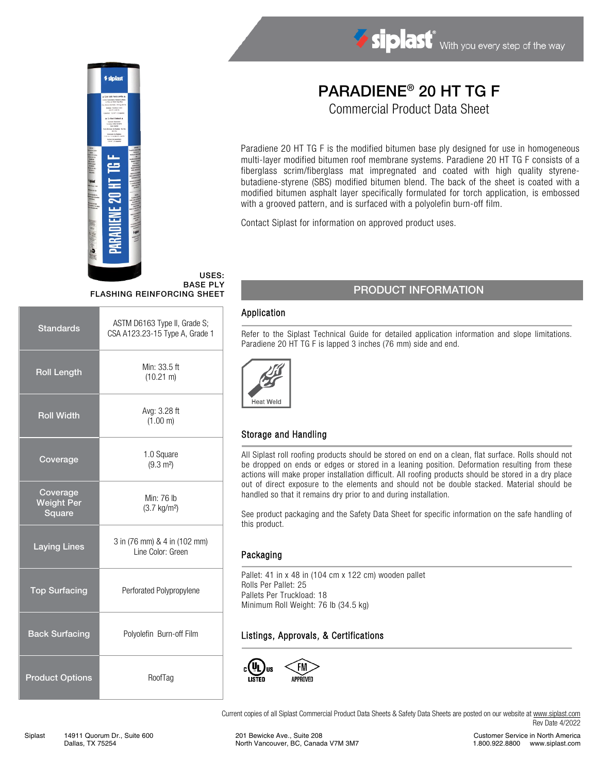



# PARADIENE® 20 HT TG F

Commercial Product Data Sheet

Paradiene 20 HT TG F is the modified bitumen base ply designed for use in homogeneous multi-layer modified bitumen roof membrane systems. Paradiene 20 HT TG F consists of a fiberglass scrim/fiberglass mat impregnated and coated with high quality styrenebutadiene-styrene (SBS) modified bitumen blend. The back of the sheet is coated with a modified bitumen asphalt layer specifically formulated for torch application, is embossed with a grooved pattern, and is surfaced with a polyolefin burn-off film.

Contact Siplast for information on approved product uses.

#### USES: BASE PLY FLASHING REINFORCING SHEET

| <b>Standards</b>                        | ASTM D6163 Type II, Grade S;<br>CSA A123.23-15 Type A, Grade 1 |  |
|-----------------------------------------|----------------------------------------------------------------|--|
| <b>Roll Length</b>                      | Min: 33.5 ft<br>$(10.21 \text{ m})$                            |  |
| <b>Roll Width</b>                       | Avg: 3.28 ft<br>(1.00 m)                                       |  |
| Coverage                                | 1.0 Square<br>$(9.3 \text{ m}^2)$                              |  |
| Coverage<br><b>Weight Per</b><br>Square | Min: 76 lb<br>$(3.7 \text{ kg/m}^2)$                           |  |
| <b>Laying Lines</b>                     | 3 in (76 mm) & 4 in (102 mm)<br>Line Color: Green              |  |
| <b>Top Surfacing</b>                    | Perforated Polypropylene                                       |  |
| <b>Back Surfacing</b>                   | Polyolefin Burn-off Film                                       |  |
| <b>Product Options</b>                  | RoofTag                                                        |  |

## PRODUCT INFORMATION

#### Application

Refer to the Siplast Technical Guide for detailed application information and slope limitations. Paradiene 20 HT TG F is lapped 3 inches (76 mm) side and end.



#### Storage and Handling

All Siplast roll roofing products should be stored on end on a clean, flat surface. Rolls should not be dropped on ends or edges or stored in a leaning position. Deformation resulting from these actions will make proper installation difficult. All roofing products should be stored in a dry place out of direct exposure to the elements and should not be double stacked. Material should be handled so that it remains dry prior to and during installation.

See product packaging and the Safety Data Sheet for specific information on the safe handling of this product.

#### Packaging

Pallet: 41 in x 48 in (104 cm x 122 cm) wooden pallet Rolls Per Pallet: 25 Pallets Per Truckload: 18 Minimum Roll Weight: 76 lb (34.5 kg)

#### Listings, Approvals, & Certifications



Current copies of all Siplast Commercial Product Data Sheets & Safety Data Sheets are posted on our website a[t www.siplast.com](http://www.siplast.com/) Rev Date 4/2022